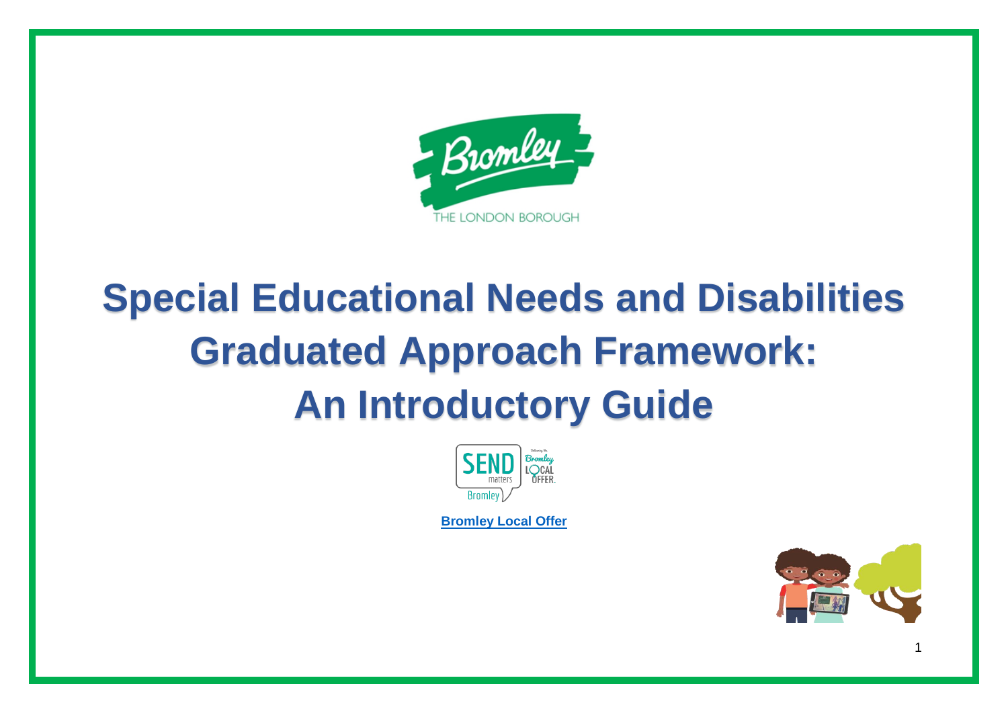

## **Special Educational Needs and Disabilities Graduated Approach Framework: An Introductory Guide**



**[Bromley Local Offer](https://www.bromley.gov.uk/localoffer)**

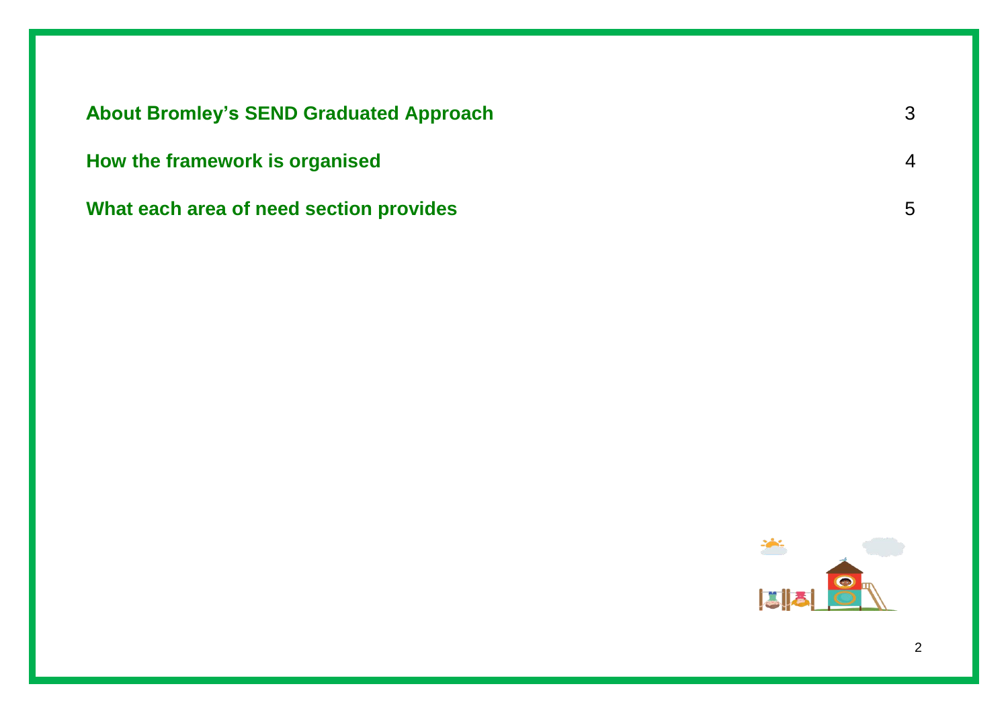| <b>About Bromley's SEND Graduated Approach</b> | 3              |
|------------------------------------------------|----------------|
| How the framework is organised                 | $\overline{4}$ |
| What each area of need section provides        | 5              |

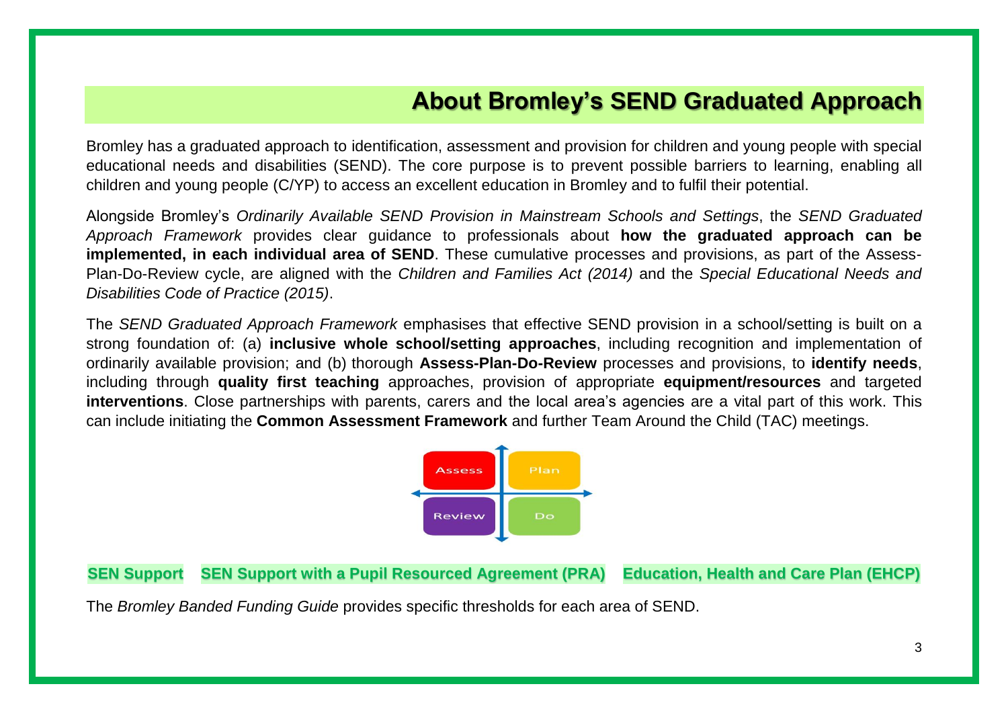## **About Bromley's SEND Graduated Approach**

Bromley has a graduated approach to identification, assessment and provision for children and young people with special educational needs and disabilities (SEND). The core purpose is to prevent possible barriers to learning, enabling all children and young people (C/YP) to access an excellent education in Bromley and to fulfil their potential.

Alongside Bromley's *Ordinarily Available SEND Provision in Mainstream Schools and Settings*, the *SEND Graduated Approach Framework* provides clear guidance to professionals about **how the graduated approach can be implemented, in each individual area of SEND**. These cumulative processes and provisions, as part of the Assess-Plan-Do-Review cycle, are aligned with the *Children and Families Act (2014)* and the *Special Educational Needs and Disabilities Code of Practice (2015)*.

The *SEND Graduated Approach Framework* emphasises that effective SEND provision in a school/setting is built on a strong foundation of: (a) **inclusive whole school/setting approaches**, including recognition and implementation of ordinarily available provision; and (b) thorough **Assess-Plan-Do-Review** processes and provisions, to **identify needs**, including through **quality first teaching** approaches, provision of appropriate **equipment/resources** and targeted **interventions**. Close partnerships with parents, carers and the local area's agencies are a vital part of this work. This can include initiating the **Common Assessment Framework** and further Team Around the Child (TAC) meetings.



**SEN Support SEN Support with a Pupil Resourced Agreement (PRA) Education, Health and Care Plan (EHCP)**

The *Bromley Banded Funding Guide* provides specific thresholds for each area of SEND.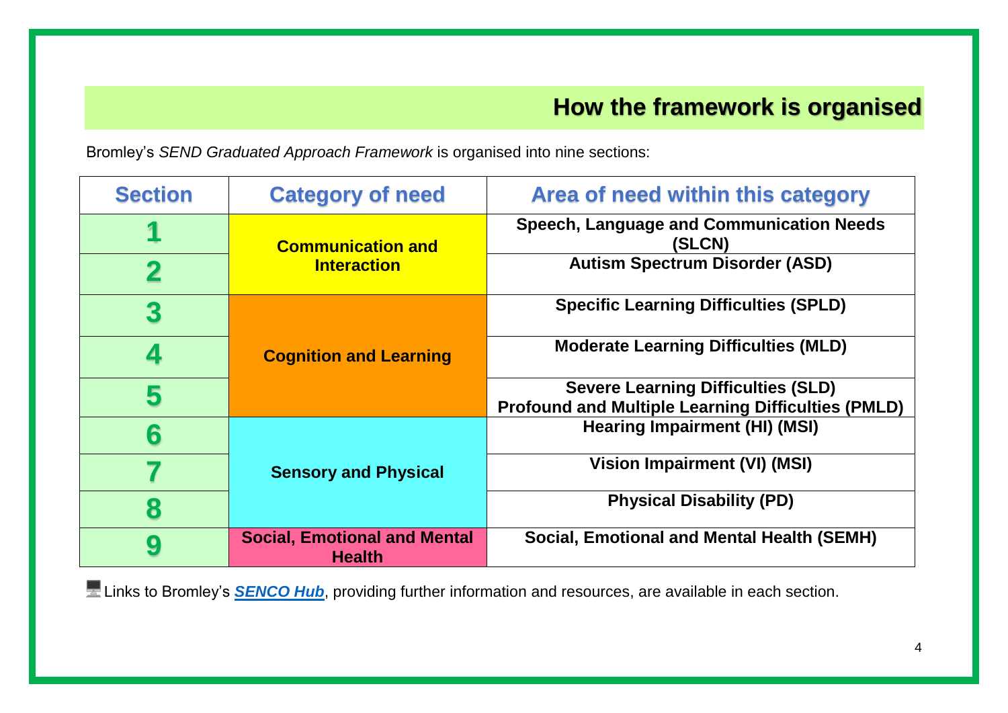## **How the framework is organised**

Bromley's *SEND Graduated Approach Framework* is organised into nine sections:

| <b>Section</b> | <b>Category of need</b>                              | Area of need within this category                                                                      |
|----------------|------------------------------------------------------|--------------------------------------------------------------------------------------------------------|
|                | <b>Communication and</b><br><b>Interaction</b>       | <b>Speech, Language and Communication Needs</b><br>(SLCN)                                              |
|                |                                                      | <b>Autism Spectrum Disorder (ASD)</b>                                                                  |
| 3              | <b>Cognition and Learning</b>                        | <b>Specific Learning Difficulties (SPLD)</b>                                                           |
| 4              |                                                      | <b>Moderate Learning Difficulties (MLD)</b>                                                            |
| 5              |                                                      | <b>Severe Learning Difficulties (SLD)</b><br><b>Profound and Multiple Learning Difficulties (PMLD)</b> |
| 6              | <b>Sensory and Physical</b>                          | <b>Hearing Impairment (HI) (MSI)</b>                                                                   |
|                |                                                      | Vision Impairment (VI) (MSI)                                                                           |
| 8              |                                                      | <b>Physical Disability (PD)</b>                                                                        |
| 9              | <b>Social, Emotional and Mental</b><br><b>Health</b> | <b>Social, Emotional and Mental Health (SEMH)</b>                                                      |

**E** Links to Bromley's **[SENCO Hub](http://bromleyeducationmatters.uk/Services/5594)**, providing further information and resources, are available in each section.